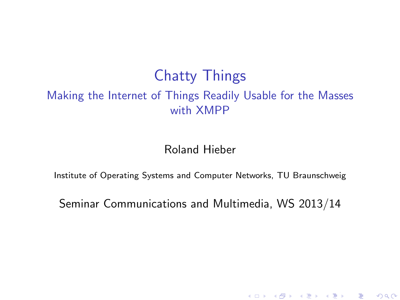### Chatty Things Making the Internet of Things Readily Usable for the Masses with XMPP

Roland Hieber

Institute of Operating Systems and Computer Networks, TU Braunschweig

Seminar Communications and Multimedia, WS 2013/14

(ロ) (御) (君) (君) (君) 君 のぬの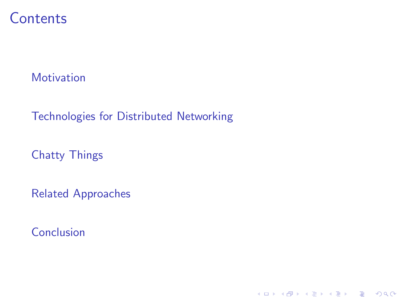### **Contents**

**[Motivation](#page-2-0)** 

[Technologies for Distributed Networking](#page-4-0)

[Chatty Things](#page-14-0)

[Related Approaches](#page-20-0)

[Conclusion](#page-24-0)

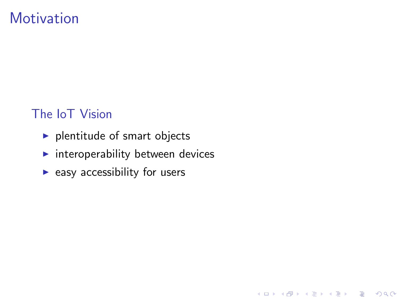### **Motivation**

#### The IoT Vision

- $\blacktriangleright$  plentitude of smart objects
- $\blacktriangleright$  interoperability between devices

K ロ ▶ K @ ▶ K 할 > K 할 > 1 할 > 1 이익어

<span id="page-2-0"></span> $\blacktriangleright$  easy accessibility for users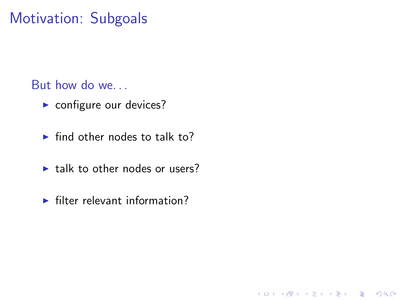### Motivation: Subgoals

But how do we. . .

- $\blacktriangleright$  configure our devices?
- $\blacktriangleright$  find other nodes to talk to?
- $\blacktriangleright$  talk to other nodes or users?
- $\blacktriangleright$  filter relevant information?

K ロ ▶ K @ ▶ K 할 > K 할 > 1 할 > 1 이익어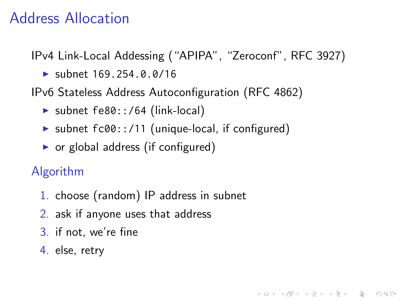### Address Allocation

IPv4 Link-Local Addessing ("APIPA", "Zeroconf", RFC 3927)

**KORK ERKER ADE YOUR** 

 $\blacktriangleright$  subnet 169.254.0.0/16

IPv6 Stateless Address Autoconfiguration (RFC 4862)

- $\triangleright$  subnet fe80::/64 (link-local)
- $\triangleright$  subnet fc00::/11 (unique-local, if configured)
- $\triangleright$  or global address (if configured)

Algorithm

- 1. choose (random) IP address in subnet
- 2. ask if anyone uses that address
- 3. if not, we're fine
- <span id="page-4-0"></span>4. else, retry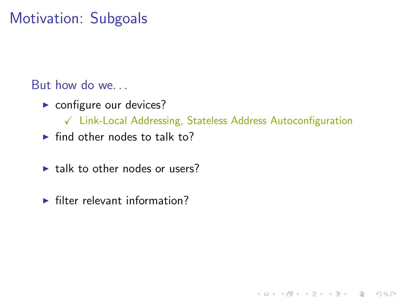### Motivation: Subgoals

But how do we. . .

- $\triangleright$  configure our devices?
	- $\sqrt{\phantom{a}}$  Link-Local Addressing, Stateless Address Autoconfiguration

K ロ ▶ K @ ▶ K 할 > K 할 > 1 할 > 1 이익어

- $\blacktriangleright$  find other nodes to talk to?
- $\blacktriangleright$  talk to other nodes or users?
- $\blacktriangleright$  filter relevant information?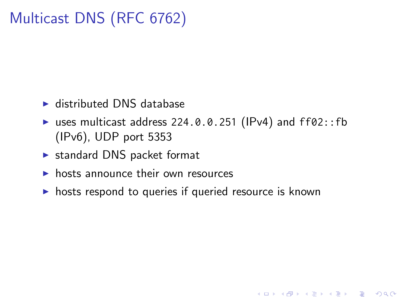### Multicast DNS (RFC 6762)

- $\blacktriangleright$  distributed DNS database
- uses multicast address 224.0.0.251 (IPv4) and  $ff02::fb$ (IPv6), UDP port 5353

**KORK ERKER ADE YOUR** 

- $\triangleright$  standard DNS packet format
- $\triangleright$  hosts announce their own resources
- $\triangleright$  hosts respond to queries if queried resource is known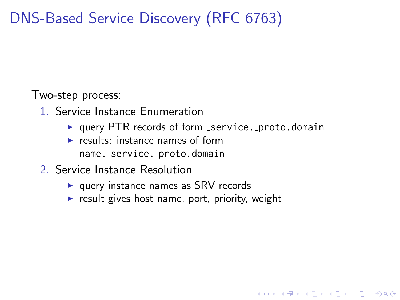## DNS-Based Service Discovery (RFC 6763)

Two-step process:

- 1. Service Instance Enumeration
	- $\triangleright$  query PTR records of form \_service. proto.domain

**KORK STRAIN A BAR SHOP** 

- $\triangleright$  results: instance names of form name. service. proto.domain
- 2. Service Instance Resolution
	- $\blacktriangleright$  query instance names as SRV records
	- $\triangleright$  result gives host name, port, priority, weight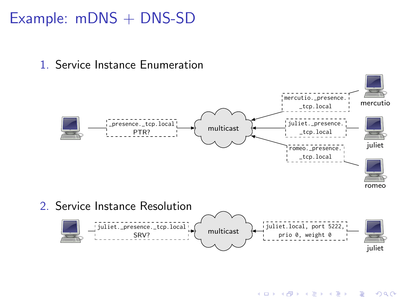### Example: mDNS + DNS-SD





**KORK STRAIN A BAR SHOP**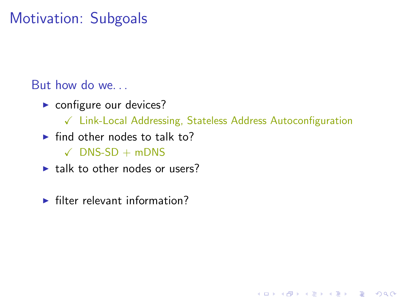### Motivation: Subgoals

But how do we. . .

- $\triangleright$  configure our devices?
	- $\checkmark$  Link-Local Addressing, Stateless Address Autoconfiguration

K ロ ▶ K @ ▶ K 할 > K 할 > 1 할 > 1 이익어

- $\blacktriangleright$  find other nodes to talk to?
	- $\checkmark$  DNS-SD + mDNS
- $\blacktriangleright$  talk to other nodes or users?
- $\blacktriangleright$  filter relevant information?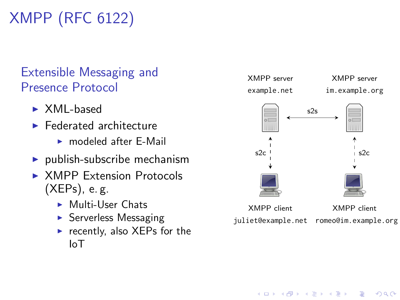# XMPP (RFC 6122)

#### Extensible Messaging and Presence Protocol

- $\triangleright$  XML-based
- $\blacktriangleright$  Federated architecture
	- $\triangleright$  modeled after  $F$ -Mail
- $\blacktriangleright$  publish-subscribe mechanism
- ▶ XMPP Extension Protocols (XEPs), e. g.
	- $\blacktriangleright$  Multi-User Chats
	- $\triangleright$  Serverless Messaging
	- recently, also XEPs for the IoT



**KORK STRAIN A BAR SHOP**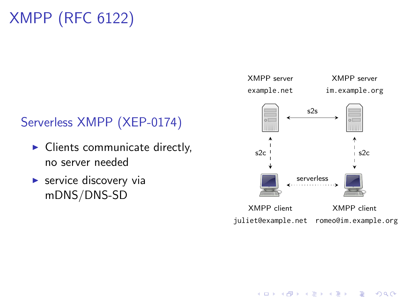## XMPP (RFC 6122)

#### Serverless XMPP (XEP-0174)

- $\blacktriangleright$  Clients communicate directly, no server needed
- $\blacktriangleright$  service discovery via mDNS/DNS-SD



 $\mathbf{E} = \mathbf{A} \oplus \mathbf{A} + \mathbf{A} \oplus \mathbf{A} + \mathbf{A} \oplus \mathbf{A} + \mathbf{A} \oplus \mathbf{A} + \mathbf{A} \oplus \mathbf{A} + \mathbf{A} \oplus \mathbf{A} + \mathbf{A} \oplus \mathbf{A} + \mathbf{A} \oplus \mathbf{A} + \mathbf{A} \oplus \mathbf{A} + \mathbf{A} \oplus \mathbf{A} + \mathbf{A} \oplus \mathbf{A} + \mathbf{A} \oplus \mathbf{A} + \mathbf{A} \oplus \mathbf{A} + \mathbf{A$ 

 $2990$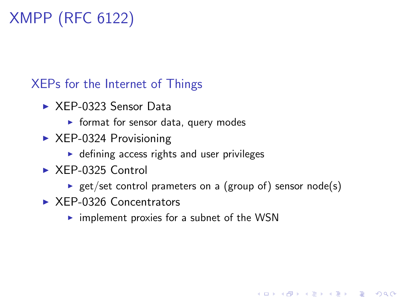## XMPP (RFC 6122)

XEPs for the Internet of Things

- $\triangleright$  XFP-0323 Sensor Data
	- $\blacktriangleright$  format for sensor data, query modes
- $\triangleright$  XEP-0324 Provisioning
	- $\triangleright$  defining access rights and user privileges
- $\triangleright$  XEP-0325 Control
	- **P** get/set control prameters on a (group of) sensor node(s)

**KORK ERKER ADE YOUR** 

- $\triangleright$  XEP-0326 Concentrators
	- $\triangleright$  implement proxies for a subnet of the WSN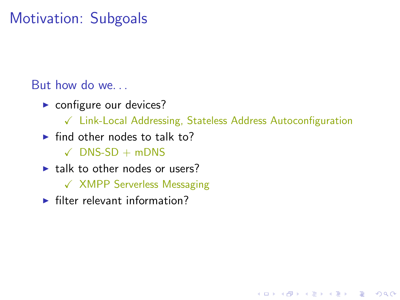### Motivation: Subgoals

But how do we. . .

- $\triangleright$  configure our devices?
	- $\sqrt{\phantom{a}}$  Link-Local Addressing, Stateless Address Autoconfiguration

**KORK ERKER ADE YOUR** 

- $\blacktriangleright$  find other nodes to talk to?
	- $\checkmark$  DNS-SD + mDNS
- $\blacktriangleright$  talk to other nodes or users?
	- $\sqrt{X}$  XMPP Serverless Messaging
- $\blacktriangleright$  filter relevant information?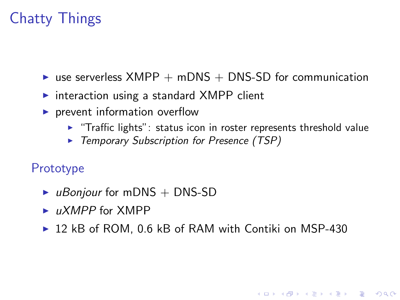### Chatty Things

- $\triangleright$  use serverless XMPP + mDNS + DNS-SD for communication
- $\triangleright$  interaction using a standard XMPP client
- $\blacktriangleright$  prevent information overflow
	- $\blacktriangleright$  "Traffic lights": status icon in roster represents threshold value

**KORK ERKER ADE YOUR** 

 $\triangleright$  Temporary Subscription for Presence (TSP)

#### Prototype

- $\blacktriangleright$  uBonjour for mDNS + DNS-SD
- $\blacktriangleright$  uXMPP for XMPP
- <span id="page-14-0"></span> $\triangleright$  12 kB of ROM, 0.6 kB of RAM with Contiki on MSP-430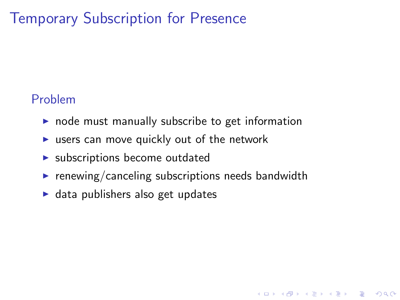### Temporary Subscription for Presence

#### Problem

- $\triangleright$  node must manually subscribe to get information
- $\triangleright$  users can move quickly out of the network
- $\blacktriangleright$  subscriptions become outdated
- $\triangleright$  renewing/canceling subscriptions needs bandwidth

**K ロ ▶ K @ ▶ K 할 X X 할 X → 할 X → 9 Q Q ^** 

 $\blacktriangleright$  data publishers also get updates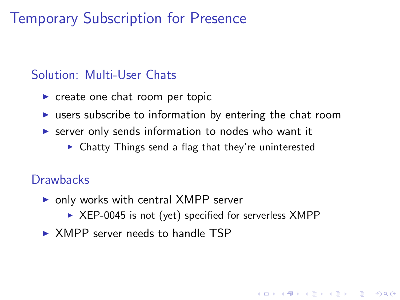### Temporary Subscription for Presence

#### Solution: Multi-User Chats

- $\triangleright$  create one chat room per topic
- $\triangleright$  users subscribe to information by entering the chat room
- $\triangleright$  server only sends information to nodes who want it
	- $\triangleright$  Chatty Things send a flag that they're uninterested

#### **Drawbacks**

- $\triangleright$  only works with central XMPP server
	- $\triangleright$  XEP-0045 is not (yet) specified for serverless XMPP

**KORK ERKER ADE YOUR** 

 $\triangleright$  XMPP server needs to handle TSP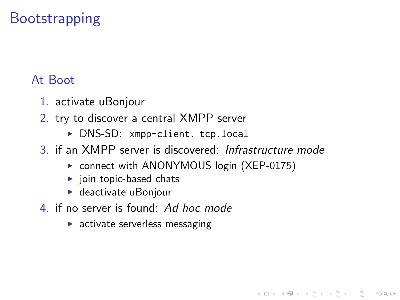### **Bootstrapping**

#### At Boot

- 1. activate uBonjour
- 2. try to discover a central XMPP server
	- ▶ DNS-SD: \_xmpp-client. \_tcp.local
- 3. if an XMPP server is discovered: Infrastructure mode
	- ▶ connect with ANONYMOUS login (XEP-0175)

**KORK STRAIN A BAR SHOP** 

- $\blacktriangleright$  join topic-based chats
- $\blacktriangleright$  deactivate uBonjour
- 4. if no server is found: Ad hoc mode
	- $\blacktriangleright$  activate serverless messaging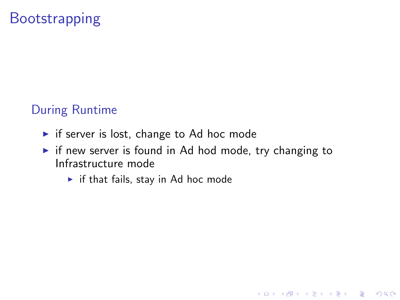### **Bootstrapping**

#### During Runtime

- $\blacktriangleright$  if server is lost, change to Ad hoc mode
- $\triangleright$  if new server is found in Ad hod mode, try changing to Infrastructure mode

K ロ ▶ K @ ▶ K 할 > K 할 > 1 할 > 1 이익어

 $\blacktriangleright$  if that fails, stay in Ad hoc mode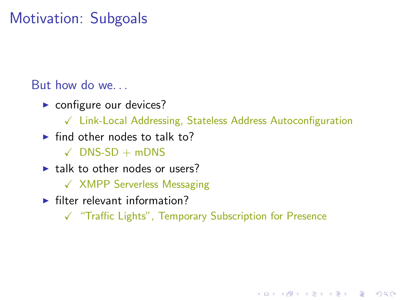### Motivation: Subgoals

But how do we. . .

- $\triangleright$  configure our devices?
	- $\sqrt{\phantom{a}}$  Link-Local Addressing, Stateless Address Autoconfiguration
- $\blacktriangleright$  find other nodes to talk to?
	- $\checkmark$  DNS-SD + mDNS
- $\blacktriangleright$  talk to other nodes or users?
	- X XMPP Serverless Messaging
- $\blacktriangleright$  filter relevant information?
	- X "Traffic Lights", Temporary Subscription for Presence

**KORK ERKER ADE YOUR**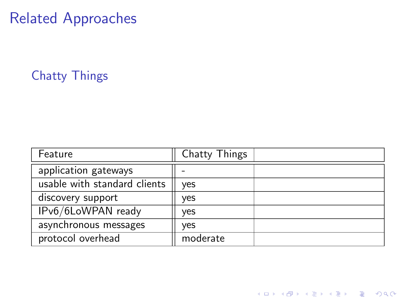### Chatty Things

<span id="page-20-0"></span>

| Feature                      | Chatty Things |  |
|------------------------------|---------------|--|
| application gateways         |               |  |
| usable with standard clients | yes           |  |
| discovery support            | yes           |  |
| IPv6/6LoWPAN ready           | yes           |  |
| asynchronous messages        | yes           |  |
| protocol overhead            | moderate      |  |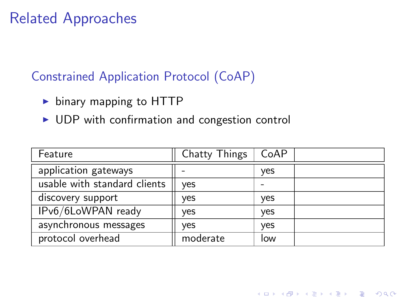#### Constrained Application Protocol (CoAP)

- $\triangleright$  binary mapping to HTTP
- $\triangleright$  UDP with confirmation and congestion control

| Feature                      | Chatty Things | CoAP |  |
|------------------------------|---------------|------|--|
| application gateways         |               | yes  |  |
| usable with standard clients | yes           |      |  |
| discovery support            | yes           | yes  |  |
| IPv6/6LoWPAN ready           | yes           | yes  |  |
| asynchronous messages        | yes           | yes  |  |
| protocol overhead            | moderate      | low  |  |

K ロ ▶ K @ ▶ K 할 > K 할 > 1 할 > 1 이익어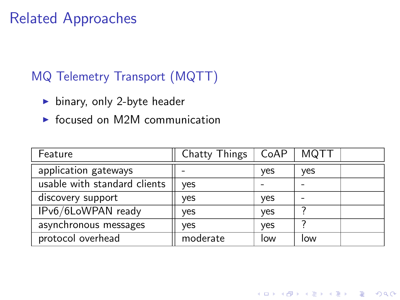#### MQ Telemetry Transport (MQTT)

- $\blacktriangleright$  binary, only 2-byte header
- $\triangleright$  focused on M2M communication

| Feature                      | Chatty Things | CoAP | MQTT |  |
|------------------------------|---------------|------|------|--|
| application gateways         |               | yes  | yes  |  |
| usable with standard clients | yes           |      |      |  |
| discovery support            | yes           | yes  |      |  |
| IPv6/6LoWPAN ready           | yes           | yes  |      |  |
| asynchronous messages        | ves           | yes  |      |  |
| protocol overhead            | moderate      | low  | low  |  |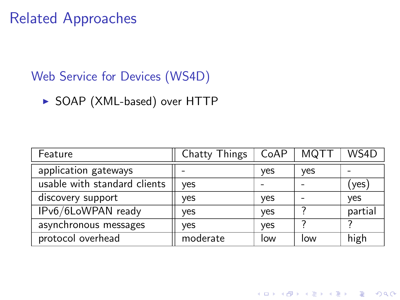#### Web Service for Devices (WS4D)

▶ SOAP (XML-based) over HTTP

| Feature                      | Chatty Things | CoAP | <b>MQTT</b> | WS4D    |
|------------------------------|---------------|------|-------------|---------|
| application gateways         |               | yes  | yes         |         |
| usable with standard clients | ves           |      |             | (yes)   |
| discovery support            | ves           | yes  |             | yes     |
| IPv6/6LoWPAN ready           | yes           | yes  |             | partial |
| asynchronous messages        | yes           | yes  |             |         |
| protocol overhead            | moderate      | low  | low         | high    |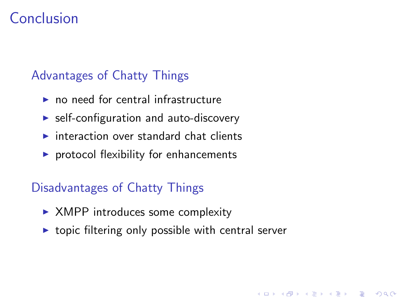### Conclusion

#### Advantages of Chatty Things

- $\blacktriangleright$  no need for central infrastructure
- $\triangleright$  self-configuration and auto-discovery
- $\triangleright$  interaction over standard chat clients
- $\triangleright$  protocol flexibility for enhancements

#### Disadvantages of Chatty Things

- $\triangleright$  XMPP introduces some complexity
- <span id="page-24-0"></span> $\triangleright$  topic filtering only possible with central server

**KORK ERKER ADE YOUR**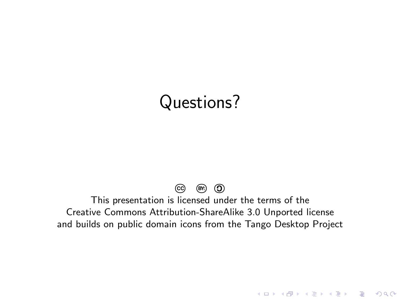## Questions?

#### **CC BY: <sup>C</sup>**

This presentation is licensed under the terms of the Creative Commons Attribution-ShareAlike 3.0 Unported license and builds on public domain icons from the Tango Desktop Project

K ロ ▶ K @ ▶ K 할 ▶ K 할 ▶ | 할 | © 9 Q @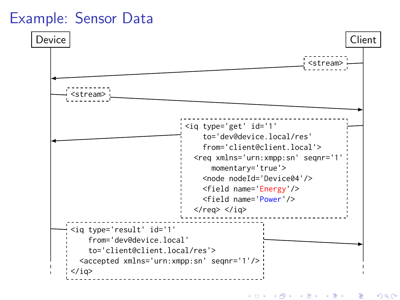### Example: Sensor Data